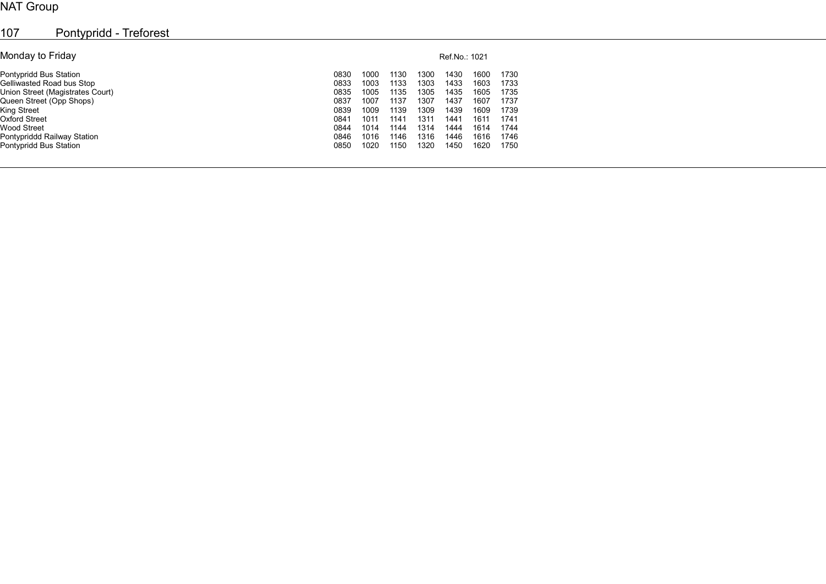## NAT Group

| 107<br>Pontypridd - Treforest    |      |               |      |      |      |      |      |  |  |  |  |  |
|----------------------------------|------|---------------|------|------|------|------|------|--|--|--|--|--|
| Monday to Friday                 |      | Ref.No.: 1021 |      |      |      |      |      |  |  |  |  |  |
| Pontypridd Bus Station           | 0830 | 1000          | 1130 | 1300 | 1430 | 1600 | 1730 |  |  |  |  |  |
| Gelliwasted Road bus Stop        | 0833 | 1003          | 1133 | 1303 | 1433 | 1603 | 1733 |  |  |  |  |  |
| Union Street (Magistrates Court) | 0835 | 1005          | 1135 | 1305 | 1435 | 1605 | 1735 |  |  |  |  |  |
| Queen Street (Opp Shops)         | 0837 | 1007          | 1137 | 1307 | 1437 | 1607 | 1737 |  |  |  |  |  |
| King Street                      | 0839 | 1009          | 1139 | 1309 | 1439 | 1609 | 1739 |  |  |  |  |  |
| <b>Oxford Street</b>             | 0841 | 1011          | 1141 | 1311 | 1441 | 1611 | 1741 |  |  |  |  |  |
| <b>Wood Street</b>               | 0844 | 1014          | 1144 | 1314 | 1444 | 1614 | 1744 |  |  |  |  |  |
| Pontypriddd Railway Station      | 0846 | 1016          | 1146 | 1316 | 1446 | 1616 | 1746 |  |  |  |  |  |
| Pontypridd Bus Station           | 0850 | 1020          | 1150 | 1320 | 1450 | 1620 | 1750 |  |  |  |  |  |